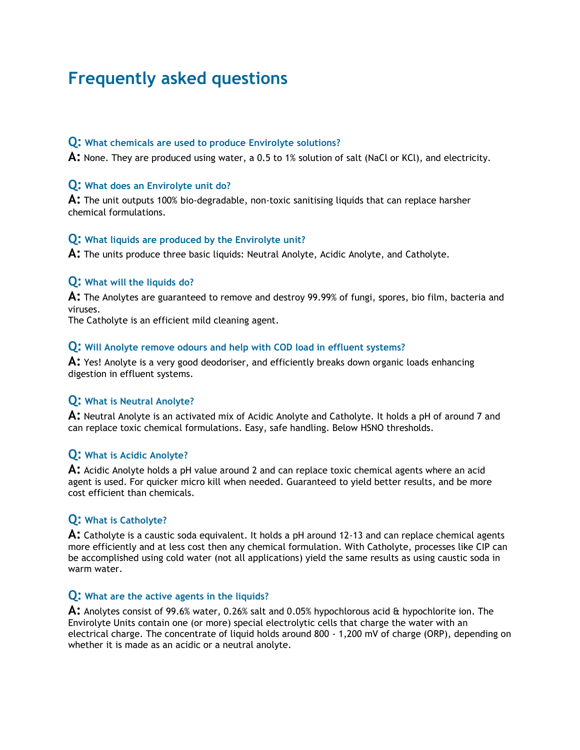# **Frequently asked questions**

## **Q: What chemicals are used to produce Envirolyte solutions?**

**A:** None. They are produced using water, a 0.5 to 1% solution of salt (NaCl or KCl), and electricity.

# **Q: What does an Envirolyte unit do?**

**A:** The unit outputs 100% bio-degradable, non-toxic sanitising liquids that can replace harsher chemical formulations.

## **Q: What liquids are produced by the Envirolyte unit?**

**A:** The units produce three basic liquids: Neutral Anolyte, Acidic Anolyte, and Catholyte.

## **Q: What will the liquids do?**

**A:** The Anolytes are guaranteed to remove and destroy 99.99% of fungi, spores, bio film, bacteria and viruses.

The Catholyte is an efficient mild cleaning agent.

## **Q: Will Anolyte remove odours and help with COD load in effluent systems?**

**A:** Yes! Anolyte is a very good deodoriser, and efficiently breaks down organic loads enhancing digestion in effluent systems.

# **Q: What is Neutral Anolyte?**

**A:** Neutral Anolyte is an activated mix of Acidic Anolyte and Catholyte. It holds a pH of around 7 and can replace toxic chemical formulations. Easy, safe handling. Below HSNO thresholds.

# **Q: What is Acidic Anolyte?**

**A:** Acidic Anolyte holds a pH value around 2 and can replace toxic chemical agents where an acid agent is used. For quicker micro kill when needed. Guaranteed to yield better results, and be more cost efficient than chemicals.

# **Q: What is Catholyte?**

**A:** Catholyte is a caustic soda equivalent. It holds a pH around 12-13 and can replace chemical agents more efficiently and at less cost then any chemical formulation. With Catholyte, processes like CIP can be accomplished using cold water (not all applications) yield the same results as using caustic soda in warm water.

# **Q: What are the active agents in the liquids?**

**A:** Anolytes consist of 99.6% water, 0.26% salt and 0.05% hypochlorous acid & hypochlorite ion. The Envirolyte Units contain one (or more) special electrolytic cells that charge the water with an electrical charge. The concentrate of liquid holds around 800 - 1,200 mV of charge (ORP), depending on whether it is made as an acidic or a neutral anolyte.